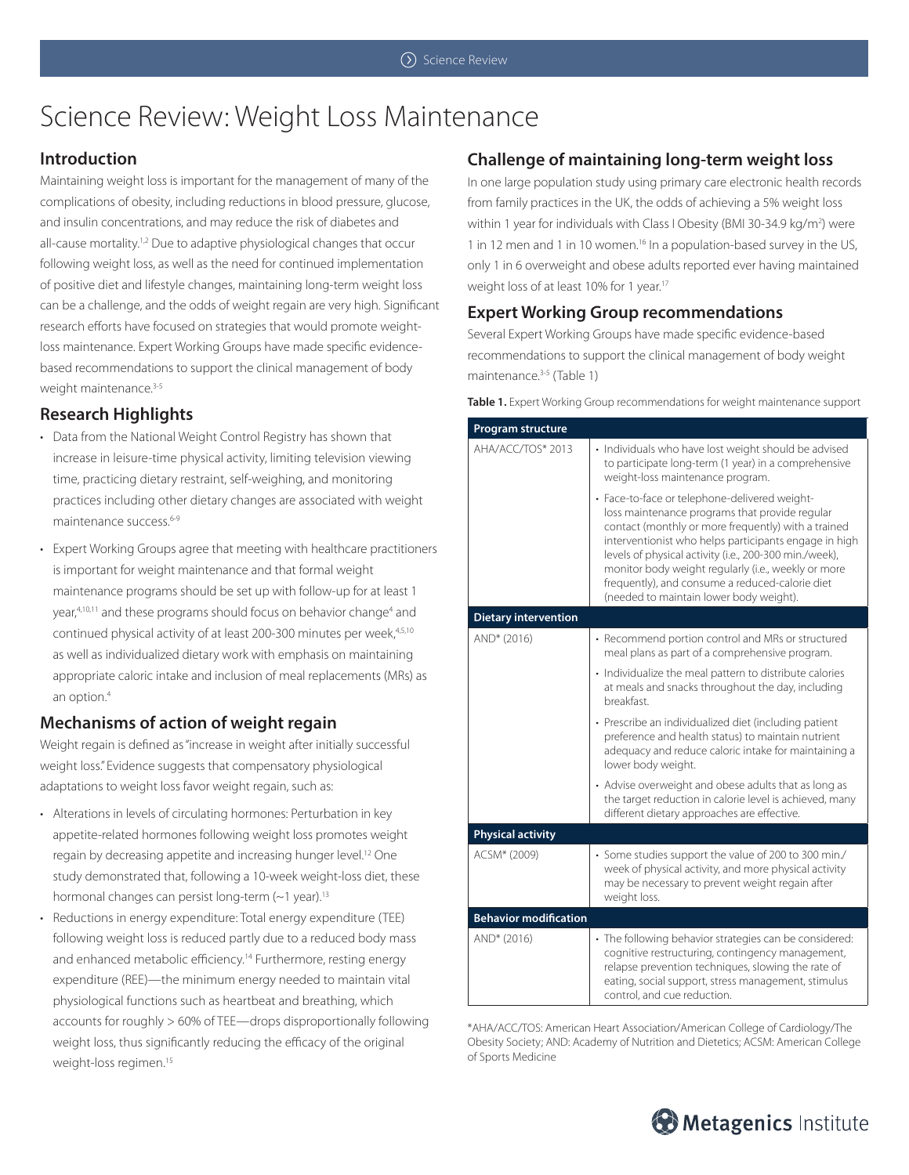# Science Review: Weight Loss Maintenance

## **Introduction**

Maintaining weight loss is important for the management of many of the complications of obesity, including reductions in blood pressure, glucose, and insulin concentrations, and may reduce the risk of diabetes and all-cause mortality.<sup>1,2</sup> Due to adaptive physiological changes that occur following weight loss, as well as the need for continued implementation of positive diet and lifestyle changes, maintaining long-term weight loss can be a challenge, and the odds of weight regain are very high. Significant research efforts have focused on strategies that would promote weightloss maintenance. Expert Working Groups have made specific evidencebased recommendations to support the clinical management of body weight maintenance.<sup>3-5</sup>

## **Research Highlights**

- Data from the National Weight Control Registry has shown that increase in leisure-time physical activity, limiting television viewing time, practicing dietary restraint, self-weighing, and monitoring practices including other dietary changes are associated with weight maintenance success.<sup>6-9</sup>
- Expert Working Groups agree that meeting with healthcare practitioners is important for weight maintenance and that formal weight maintenance programs should be set up with follow-up for at least 1 year,<sup>4,10,11</sup> and these programs should focus on behavior change<sup>4</sup> and continued physical activity of at least 200-300 minutes per week, 4,5,10 as well as individualized dietary work with emphasis on maintaining appropriate caloric intake and inclusion of meal replacements (MRs) as an option.4

## **Mechanisms of action of weight regain**

Weight regain is defined as "increase in weight after initially successful weight loss." Evidence suggests that compensatory physiological adaptations to weight loss favor weight regain, such as:

- Alterations in levels of circulating hormones: Perturbation in key appetite-related hormones following weight loss promotes weight regain by decreasing appetite and increasing hunger level.<sup>12</sup> One study demonstrated that, following a 10-week weight-loss diet, these hormonal changes can persist long-term (~1 year).<sup>13</sup>
- Reductions in energy expenditure: Total energy expenditure (TEE) following weight loss is reduced partly due to a reduced body mass and enhanced metabolic efficiency.<sup>14</sup> Furthermore, resting energy expenditure (REE)—the minimum energy needed to maintain vital physiological functions such as heartbeat and breathing, which accounts for roughly > 60% of TEE—drops disproportionally following weight loss, thus significantly reducing the efficacy of the original weight-loss regimen.<sup>15</sup>

## **Challenge of maintaining long-term weight loss**

In one large population study using primary care electronic health records from family practices in the UK, the odds of achieving a 5% weight loss within 1 year for individuals with Class I Obesity (BMI 30-34.9 kg/m<sup>2</sup>) were 1 in 12 men and 1 in 10 women.<sup>16</sup> In a population-based survey in the US, only 1 in 6 overweight and obese adults reported ever having maintained weight loss of at least 10% for 1 year.17

## **Expert Working Group recommendations**

Several Expert Working Groups have made specific evidence-based recommendations to support the clinical management of body weight maintenance.<sup>3-5</sup> (Table 1)

**Table 1.** Expert Working Group recommendations for weight maintenance support

| Program structure            |                                                                                                                                                                                                                                                                                                                                                                                                                                |
|------------------------------|--------------------------------------------------------------------------------------------------------------------------------------------------------------------------------------------------------------------------------------------------------------------------------------------------------------------------------------------------------------------------------------------------------------------------------|
| AHA/ACC/TOS* 2013            | · Individuals who have lost weight should be advised<br>to participate long-term (1 year) in a comprehensive<br>weight-loss maintenance program.                                                                                                                                                                                                                                                                               |
|                              | · Face-to-face or telephone-delivered weight-<br>loss maintenance programs that provide regular<br>contact (monthly or more frequently) with a trained<br>interventionist who helps participants engage in high<br>levels of physical activity (i.e., 200-300 min./week),<br>monitor body weight regularly (i.e., weekly or more<br>frequently), and consume a reduced-calorie diet<br>(needed to maintain lower body weight). |
| <b>Dietary intervention</b>  |                                                                                                                                                                                                                                                                                                                                                                                                                                |
| AND* (2016)                  | • Recommend portion control and MRs or structured<br>meal plans as part of a comprehensive program.                                                                                                                                                                                                                                                                                                                            |
|                              | • Individualize the meal pattern to distribute calories<br>at meals and snacks throughout the day, including<br>breakfast.                                                                                                                                                                                                                                                                                                     |
|                              | · Prescribe an individualized diet (including patient<br>preference and health status) to maintain nutrient<br>adequacy and reduce caloric intake for maintaining a<br>lower body weight.                                                                                                                                                                                                                                      |
|                              | • Advise overweight and obese adults that as long as<br>the target reduction in calorie level is achieved, many<br>different dietary approaches are effective.                                                                                                                                                                                                                                                                 |
| <b>Physical activity</b>     |                                                                                                                                                                                                                                                                                                                                                                                                                                |
| ACSM* (2009)                 | · Some studies support the value of 200 to 300 min./<br>week of physical activity, and more physical activity<br>may be necessary to prevent weight regain after<br>weight loss.                                                                                                                                                                                                                                               |
| <b>Behavior modification</b> |                                                                                                                                                                                                                                                                                                                                                                                                                                |
| AND* (2016)                  | • The following behavior strategies can be considered:<br>cognitive restructuring, contingency management,<br>relapse prevention techniques, slowing the rate of<br>eating, social support, stress management, stimulus<br>control, and cue reduction.                                                                                                                                                                         |

\*AHA/ACC/TOS: American Heart Association/American College of Cardiology/The Obesity Society; AND: Academy of Nutrition and Dietetics; ACSM: American College of Sports Medicine